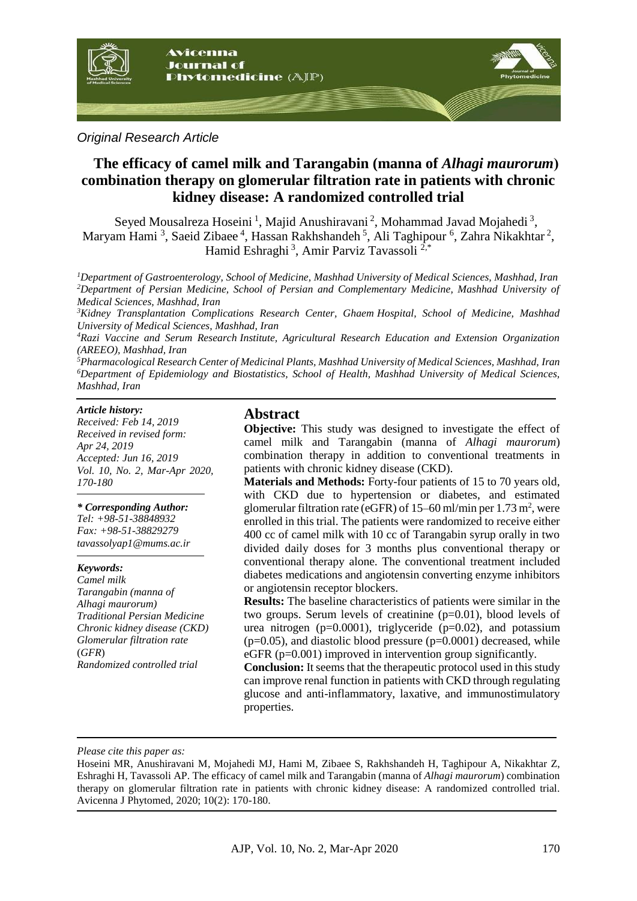

## *Original Research Article*

# **The efficacy of camel milk and Tarangabin (manna of** *Alhagi maurorum***( combination therapy on glomerular filtration rate in patients with chronic kidney disease: A randomized controlled trial**

Seyed Mousalreza Hoseini<sup>1</sup>, Majid Anushiravani<sup>2</sup>, Mohammad Javad Mojahedi<sup>3</sup>, Maryam Hami<sup>3</sup>, Saeid Zibaee<sup>4</sup>, Hassan Rakhshandeh<sup>5</sup>, Ali Taghipour<sup>6</sup>, Zahra Nikakhtar<sup>2</sup>, Hamid Eshraghi<sup>3</sup>, Amir Parviz Tavassoli<sup>2,\*</sup>

*<sup>1</sup>Department of Gastroenterology, School of Medicine, Mashhad University of Medical Sciences, Mashhad, Iran <sup>2</sup>Department of Persian Medicine, School of Persian and Complementary Medicine, Mashhad University of Medical Sciences, Mashhad, Iran*

*<sup>3</sup>Kidney Transplantation Complications Research Center, Ghaem Hospital, School of Medicine, Mashhad University of Medical Sciences, Mashhad, Iran*

*<sup>4</sup>Razi Vaccine and Serum Research Institute, Agricultural Research Education and Extension Organization (AREEO), Mashhad, Iran*

*<sup>5</sup>Pharmacological Research Center of Medicinal Plants, Mashhad University of Medical Sciences, Mashhad, Iran <sup>6</sup>Department of Epidemiology and Biostatistics, School of Health, Mashhad University of Medical Sciences, Mashhad, Iran*

#### *Article history:*

*Received: Feb 14, 2019 Received in revised form: Apr 24, 2019 Accepted: Jun 16, 2019 Vol. 10, No. 2, Mar-Apr 2020, 170-180*

#### *\* Corresponding Author:*

*Tel: +98-51-38848932 Fax: +98-51-38829279 tavassolyap1@mums.ac.ir*

#### *Keywords:*

*Camel milk Tarangabin (manna of Alhagi maurorum) Traditional Persian Medicine Chronic kidney disease (CKD) Glomerular filtration rate*  (*GFR*) *Randomized controlled trial*

## **Abstract**

**Objective:** This study was designed to investigate the effect of camel milk and Tarangabin (manna of *Alhagi maurorum*) combination therapy in addition to conventional treatments in patients with chronic kidney disease (CKD).

**Materials and Methods:** Forty-four patients of 15 to 70 years old, with CKD due to hypertension or diabetes, and estimated glomerular filtration rate (eGFR) of 15–60 ml/min per 1.73 m<sup>2</sup>, were enrolled in this trial. The patients were randomized to receive either 400 cc of camel milk with 10 cc of Tarangabin syrup orally in two divided daily doses for 3 months plus conventional therapy or conventional therapy alone. The conventional treatment included diabetes medications and angiotensin converting enzyme inhibitors or angiotensin receptor blockers.

**Results:** The baseline characteristics of patients were similar in the two groups. Serum levels of creatinine (p=0.01), blood levels of urea nitrogen ( $p=0.0001$ ), triglyceride ( $p=0.02$ ), and potassium  $(p=0.05)$ , and diastolic blood pressure  $(p=0.0001)$  decreased, while eGFR (p=0.001) improved in intervention group significantly.

**Conclusion:** It seems that the therapeutic protocol used in this study can improve renal function in patients with CKD through regulating glucose and anti-inflammatory, laxative, and immunostimulatory properties.

*Please cite this paper as:* 

Hoseini MR, Anushiravani M, Mojahedi MJ, Hami M, Zibaee S, Rakhshandeh H, Taghipour A, Nikakhtar Z, Eshraghi H, Tavassoli AP. The efficacy of camel milk and Tarangabin (manna of *Alhagi maurorum*) combination therapy on glomerular filtration rate in patients with chronic kidney disease: A randomized controlled trial. Avicenna J Phytomed, 2020; 10(2): 170-180.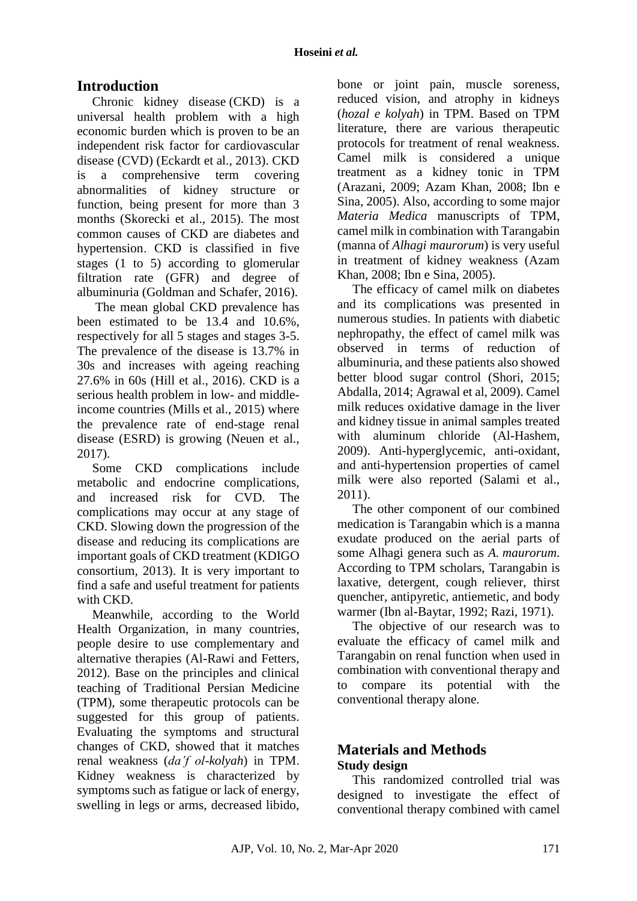# **Introduction**

Chronic kidney disease (CKD) is a universal health problem with a high economic burden which is proven to be an independent risk factor for cardiovascular disease (CVD) (Eckardt et al., 2013). CKD is a comprehensive term covering abnormalities of kidney structure or function, being present for more than 3 months (Skorecki et al., 2015). The most common causes of CKD are diabetes and hypertension. CKD is classified in five stages (1 to 5) according to glomerular filtration rate (GFR) and degree of albuminuria (Goldman and Schafer, 2016).

The mean global CKD prevalence has been estimated to be 13.4 and 10.6%, respectively for all 5 stages and stages 3-5. The prevalence of the disease is 13.7% in 30s and increases with ageing reaching 27.6% in 60s (Hill et al., 2016). CKD is a serious health problem in low- and middleincome countries (Mills et al., 2015) where the prevalence rate of end-stage renal disease (ESRD) is growing (Neuen et al., 2017).

Some CKD complications include metabolic and endocrine complications, and increased risk for CVD. The complications may occur at any stage of CKD. Slowing down the progression of the disease and reducing its complications are important goals of CKD treatment (KDIGO consortium, 2013). It is very important to find a safe and useful treatment for patients with CKD.

Meanwhile, according to the World Health Organization, in many countries, people desire to use complementary and alternative therapies (Al-Rawi and Fetters, 2012). Base on the principles and clinical teaching of Traditional Persian Medicine (TPM), some therapeutic protocols can be suggested for this group of patients. Evaluating the symptoms and structural changes of CKD, showed that it matches renal weakness (*da'f ol-kolyah*) in TPM. Kidney weakness is characterized by symptoms such as fatigue or lack of energy, swelling in legs or arms, decreased libido,

bone or joint pain, muscle soreness, reduced vision, and atrophy in kidneys (*hozal e kolyah*) in TPM. Based on TPM literature, there are various therapeutic protocols for treatment of renal weakness. Camel milk is considered a unique treatment as a kidney tonic in TPM (Arazani, 2009; Azam Khan, 2008; Ibn e Sina, 2005). Also, according to some major *Materia Medica* manuscripts of TPM, camel milk in combination with Tarangabin (manna of *Alhagi maurorum*) is very useful in treatment of kidney weakness (Azam Khan, 2008; Ibn e Sina, 2005).

The efficacy of camel milk on diabetes and its complications was presented in numerous studies. In patients with diabetic nephropathy, the effect of camel milk was observed in terms of reduction of albuminuria, and these patients also showed better blood sugar control (Shori, 2015; Abdalla, 2014; Agrawal et al, 2009). Camel milk reduces oxidative damage in the liver and kidney tissue in animal samples treated with aluminum chloride (Al-Hashem, 2009). Anti-hyperglycemic, anti-oxidant, and anti-hypertension properties of camel milk were also reported (Salami et al., 2011).

The other component of our combined medication is Tarangabin which is a manna exudate produced on the aerial parts of some Alhagi genera such as *A. maurorum*. According to TPM scholars, Tarangabin is laxative, detergent, cough reliever, thirst quencher, antipyretic, antiemetic, and body warmer (Ibn al-Baytar, 1992; Razi, 1971).

The objective of our research was to evaluate the efficacy of camel milk and Tarangabin on renal function when used in combination with conventional therapy and to compare its potential with the conventional therapy alone.

# **Materials and Methods Study design**

This randomized controlled trial was designed to investigate the effect of conventional therapy combined with camel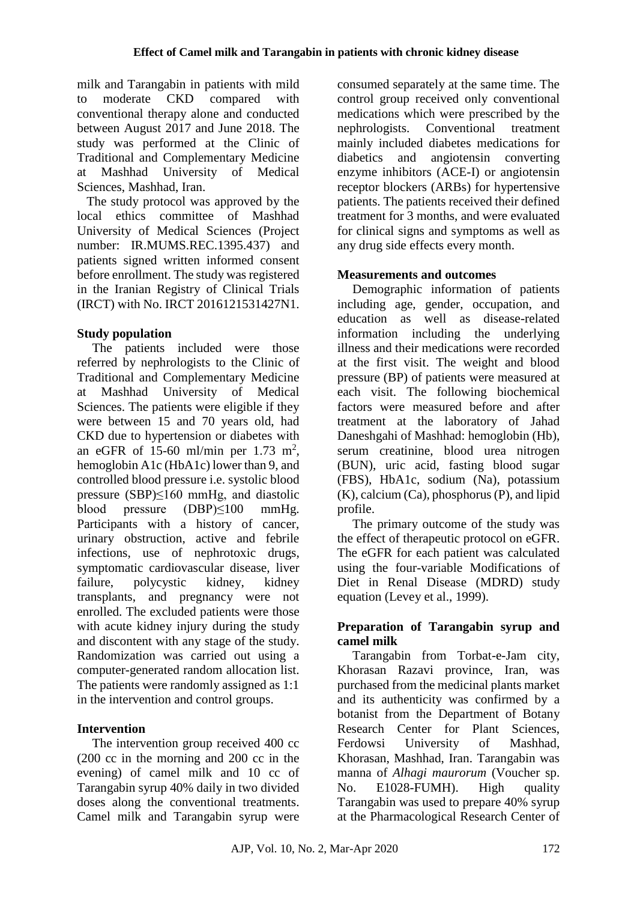milk and Tarangabin in patients with mild to moderate CKD compared with conventional therapy alone and conducted between August 2017 and June 2018. The study was performed at the Clinic of Traditional and Complementary Medicine at Mashhad University of Medical Sciences, Mashhad, Iran.

 The study protocol was approved by the local ethics committee of Mashhad University of Medical Sciences (Project number: IR.MUMS.REC.1395.437) and patients signed written informed consent before enrollment. The study was registered in the Iranian Registry of Clinical Trials (IRCT) with No. IRCT 2016121531427N1.

# **Study population**

The patients included were those referred by nephrologists to the Clinic of Traditional and Complementary Medicine at Mashhad University of Medical Sciences. The patients were eligible if they were between 15 and 70 years old, had CKD due to hypertension or diabetes with an eGFR of 15-60 ml/min per 1.73 m<sup>2</sup>, hemoglobin A1c (HbA1c) lower than 9, and controlled blood pressure i.e. systolic blood pressure (SBP)≤160 mmHg, and diastolic blood pressure (DBP)≤100 mmHg. Participants with a history of cancer, urinary obstruction, active and febrile infections, use of nephrotoxic drugs, symptomatic cardiovascular disease, liver failure, polycystic kidney, kidney transplants, and pregnancy were not enrolled. The excluded patients were those with acute kidney injury during the study and discontent with any stage of the study. Randomization was carried out using a computer-generated random allocation list. The patients were randomly assigned as 1:1 in the intervention and control groups.

# **Intervention**

The intervention group received 400 cc (200 cc in the morning and 200 cc in the evening) of camel milk and 10 cc of Tarangabin syrup 40% daily in two divided doses along the conventional treatments. Camel milk and Tarangabin syrup were consumed separately at the same time. The control group received only conventional medications which were prescribed by the nephrologists. Conventional treatment mainly included diabetes medications for diabetics and angiotensin converting enzyme inhibitors (ACE-I) or angiotensin receptor blockers (ARBs) for hypertensive patients. The patients received their defined treatment for 3 months, and were evaluated for clinical signs and symptoms as well as any drug side effects every month.

# **Measurements and outcomes**

Demographic information of patients including age, gender, occupation, and education as well as disease-related information including the underlying illness and their medications were recorded at the first visit. The weight and blood pressure (BP) of patients were measured at each visit. The following biochemical factors were measured before and after treatment at the laboratory of Jahad Daneshgahi of Mashhad: hemoglobin (Hb), serum creatinine, blood urea nitrogen (BUN), uric acid, fasting blood sugar (FBS), HbA1c, sodium (Na), potassium (K), calcium (Ca), phosphorus (P), and lipid profile.

The primary outcome of the study was the effect of therapeutic protocol on eGFR. The eGFR for each patient was calculated using the four-variable Modifications of Diet in Renal Disease (MDRD) study equation (Levey et al., 1999).

# **Preparation of Tarangabin syrup and camel milk**

Tarangabin from Torbat-e-Jam city, Khorasan Razavi province, Iran, was purchased from the medicinal plants market and its authenticity was confirmed by a botanist from the Department of Botany Research Center for Plant Sciences, Ferdowsi University of Mashhad, Khorasan, Mashhad, Iran. Tarangabin was manna of *Alhagi maurorum* (Voucher sp. No. E1028-FUMH). High quality Tarangabin was used to prepare 40% syrup at the Pharmacological Research Center of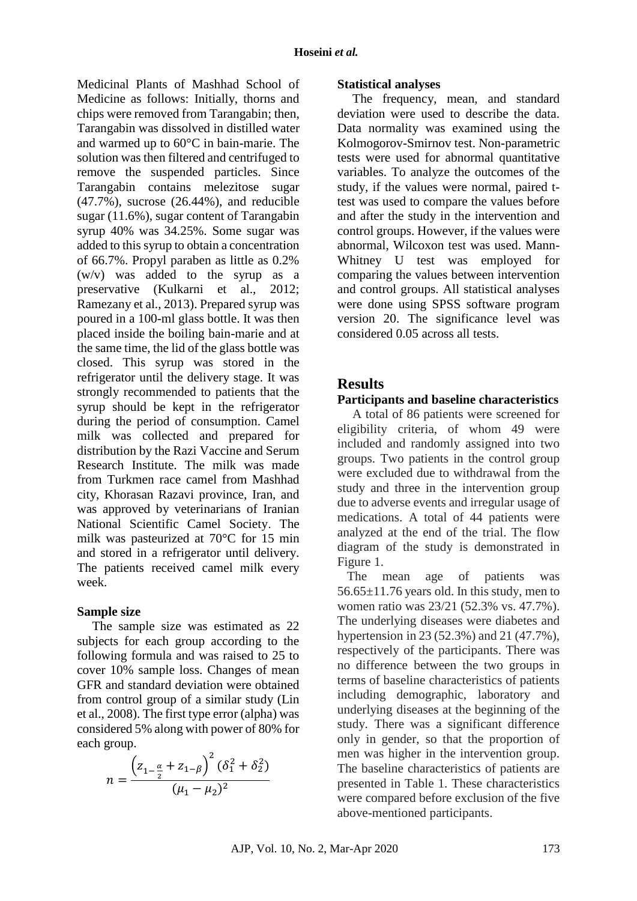Medicinal Plants of Mashhad School of Medicine as follows: Initially, thorns and chips were removed from Tarangabin; then, Tarangabin was dissolved in distilled water and warmed up to 60°C in bain-marie. The solution was then filtered and centrifuged to remove the suspended particles. Since Tarangabin contains melezitose sugar (47.7%), sucrose (26.44%), and reducible sugar (11.6%), sugar content of Tarangabin syrup 40% was 34.25%. Some sugar was added to this syrup to obtain a concentration of 66.7%. Propyl paraben as little as 0.2% (w/v) was added to the syrup as a preservative (Kulkarni et al., 2012; Ramezany et al., 2013). Prepared syrup was poured in a 100-ml glass bottle. It was then placed inside the boiling bain-marie and at the same time, the lid of the glass bottle was closed. This syrup was stored in the refrigerator until the delivery stage. It was strongly recommended to patients that the syrup should be kept in the refrigerator during the period of consumption. Camel milk was collected and prepared for distribution by the Razi Vaccine and Serum Research Institute. The milk was made from Turkmen race camel from Mashhad city, Khorasan Razavi province, Iran, and was approved by veterinarians of Iranian National Scientific Camel Society. The milk was pasteurized at 70°C for 15 min and stored in a refrigerator until delivery. The patients received camel milk every week.

### **Sample size**

The sample size was estimated as 22 subjects for each group according to the following formula and was raised to 25 to cover 10% sample loss. Changes of mean GFR and standard deviation were obtained from control group of a similar study (Lin et al., 2008). The first type error (alpha) was considered 5% along with power of 80% for each group.

$$
n = \frac{\left(z_{1-\frac{\alpha}{2}} + z_{1-\beta}\right)^2 (\delta_1^2 + \delta_2^2)}{(\mu_1 - \mu_2)^2}
$$

#### **Statistical analyses**

The frequency, mean, and standard deviation were used to describe the data. Data normality was examined using the Kolmogorov-Smirnov test. Non-parametric tests were used for abnormal quantitative variables. To analyze the outcomes of the study, if the values were normal, paired ttest was used to compare the values before and after the study in the intervention and control groups. However, if the values were abnormal, Wilcoxon test was used. Mann-Whitney U test was employed for comparing the values between intervention and control groups. All statistical analyses were done using SPSS software program version 20. The significance level was considered 0.05 across all tests.

# **Results**

## **Participants and baseline characteristics**

A total of 86 patients were screened for eligibility criteria, of whom 49 were included and randomly assigned into two groups. Two patients in the control group were excluded due to withdrawal from the study and three in the intervention group due to adverse events and irregular usage of medications. A total of 44 patients were analyzed at the end of the trial. The flow diagram of the study is demonstrated in Figure 1.

 The mean age of patients was  $56.65 \pm 11.76$  years old. In this study, men to women ratio was 23/21 (52.3% vs. 47.7%). The underlying diseases were diabetes and hypertension in 23 (52.3%) and 21 (47.7%), respectively of the participants. There was no difference between the two groups in terms of baseline characteristics of patients including demographic, laboratory and underlying diseases at the beginning of the study. There was a significant difference only in gender, so that the proportion of men was higher in the intervention group. The baseline characteristics of patients are presented in Table 1. These characteristics were compared before exclusion of the five above-mentioned participants.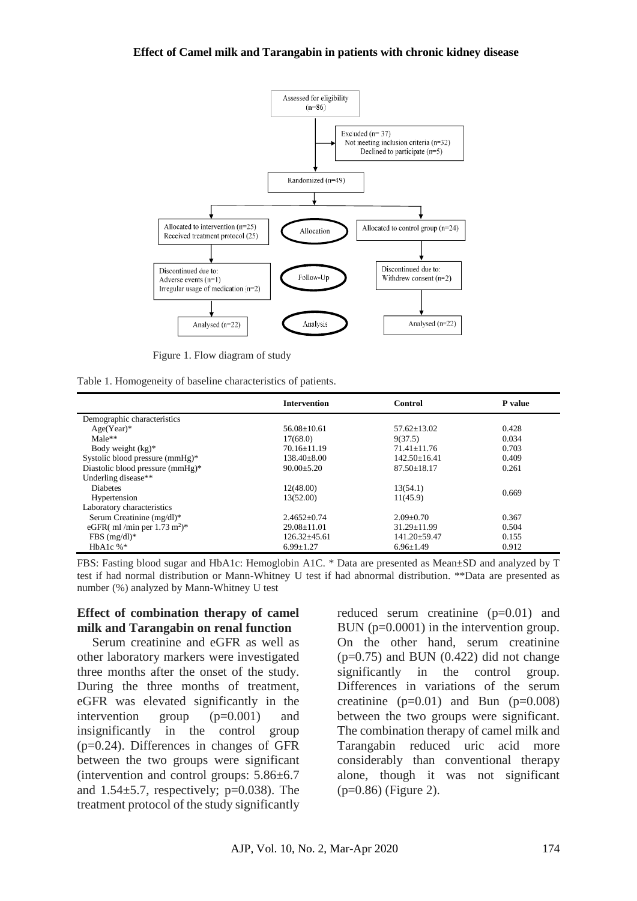

Figure 1. Flow diagram of study

|  |  | Table 1. Homogeneity of baseline characteristics of patients. |  |  |  |  |  |  |
|--|--|---------------------------------------------------------------|--|--|--|--|--|--|
|--|--|---------------------------------------------------------------|--|--|--|--|--|--|

|                                        | <b>Intervention</b> | Control            | P value |
|----------------------------------------|---------------------|--------------------|---------|
| Demographic characteristics            |                     |                    |         |
| $Age(Year)*$                           | $56.08 + 10.61$     | $57.62 + 13.02$    | 0.428   |
| $Male**$                               | 17(68.0)            | 9(37.5)            | 0.034   |
| Body weight $(kg)^*$                   | $70.16 + 11.19$     | $71.41 + 11.76$    | 0.703   |
| Systolic blood pressure (mmHg)*        | $138.40 \pm 8.00$   | $142.50 \pm 16.41$ | 0.409   |
| Diastolic blood pressure (mmHg)*       | $90.00 \pm 5.20$    | $87.50 \pm 18.17$  | 0.261   |
| Underling disease**                    |                     |                    |         |
| <b>Diabetes</b>                        | 12(48.00)           | 13(54.1)           |         |
| Hypertension                           | 13(52.00)           | 11(45.9)           | 0.669   |
| Laboratory characteristics             |                     |                    |         |
| Serum Creatinine $(mg/dl)^*$           | $2.4652 \pm 0.74$   | $2.09 \pm 0.70$    | 0.367   |
| eGFR( ml/min per $1.73 \text{ m}^2$ )* | $29.08 \pm 11.01$   | $31.29 \pm 11.99$  | 0.504   |
| FBS $(mg/dl)^*$                        | $126.32 \pm 45.61$  | $141.20 \pm 59.47$ | 0.155   |
| HbA1c $%^*$                            | $6.99 \pm 1.27$     | $6.96 \pm 1.49$    | 0.912   |

FBS: Fasting blood sugar and HbA1c: Hemoglobin A1C. \* Data are presented as Mean±SD and analyzed by T test if had normal distribution or Mann-Whitney U test if had abnormal distribution. \*\*Data are presented as number (%) analyzed by Mann-Whitney U test

### **Effect of combination therapy of camel milk and Tarangabin on renal function**

Serum creatinine and eGFR as well as other laboratory markers were investigated three months after the onset of the study. During the three months of treatment, eGFR was elevated significantly in the intervention group (p=0.001) and insignificantly in the control group (p=0.24). Differences in changes of GFR between the two groups were significant (intervention and control groups: 5.86±6.7 and  $1.54 \pm 5.7$ , respectively; p=0.038). The treatment protocol of the study significantly

reduced serum creatinine (p=0.01) and BUN (p=0.0001) in the intervention group. On the other hand, serum creatinine  $(p=0.75)$  and BUN  $(0.422)$  did not change significantly in the control group. Differences in variations of the serum creatinine  $(p=0.01)$  and Bun  $(p=0.008)$ between the two groups were significant. The combination therapy of camel milk and Tarangabin reduced uric acid more considerably than conventional therapy alone, though it was not significant (p=0.86) (Figure 2).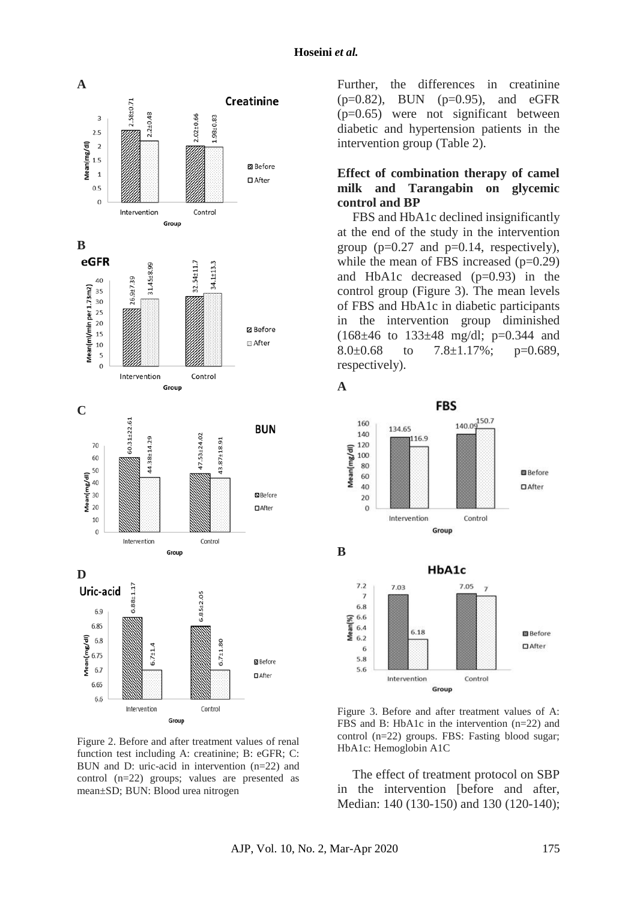

Figure 2. Before and after treatment values of renal function test including A: creatinine; B: eGFR; C: BUN and D: uric-acid in intervention (n=22) and control (n=22) groups; values are presented as mean±SD; BUN: Blood urea nitrogen

Further, the differences in creatinine (p=0.82), BUN (p=0.95), and eGFR (p=0.65) were not significant between diabetic and hypertension patients in the intervention group (Table 2).

## **Effect of combination therapy of camel milk and Tarangabin on glycemic control and BP**

FBS and HbA1c declined insignificantly at the end of the study in the intervention group ( $p=0.27$  and  $p=0.14$ , respectively), while the mean of FBS increased  $(p=0.29)$ and HbA1c decreased (p=0.93) in the control group (Figure 3). The mean levels of FBS and HbA1c in diabetic participants in the intervention group diminished  $(168\pm46 \text{ to } 133\pm48 \text{ mg/d}]$ ; p=0.344 and 8.0 $\pm$ 0.68 to 7.8 $\pm$ 1.17%; p=0.689, respectively).



Figure 3. Before and after treatment values of A: FBS and B: HbA1c in the intervention (n=22) and control (n=22) groups. FBS: Fasting blood sugar; HbA1c: Hemoglobin A1C

The effect of treatment protocol on SBP in the intervention [before and after, Median: 140 (130-150) and 130 (120-140);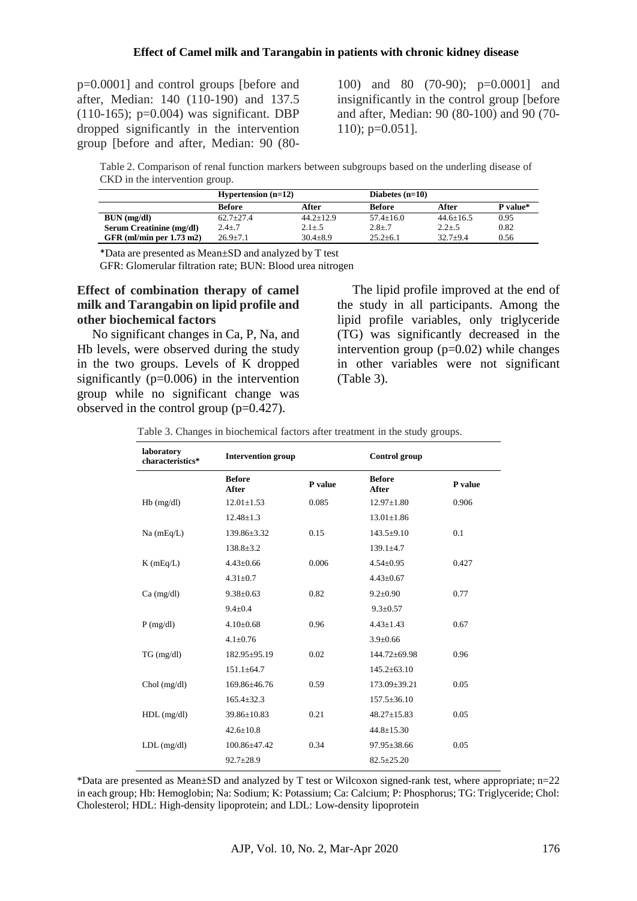p=0.0001] and control groups [before and after, Median: 140 (110-190) and 137.5  $(110-165)$ ; p=0.004) was significant. DBP dropped significantly in the intervention group [before and after, Median: 90 (80100) and 80 (70-90); p=0.0001] and insignificantly in the control group [before and after, Median: 90 (80-100) and 90 (70- 110); p=0.051].

Table 2. Comparison of renal function markers between subgroups based on the underling disease of CKD in the intervention group.

|                                 | <b>Hypertension</b> $(n=12)$ |                 |                | Diabetes $(n=10)$ |          |  |
|---------------------------------|------------------------------|-----------------|----------------|-------------------|----------|--|
|                                 | Before                       | After           | <b>Before</b>  | After             | P value* |  |
| BUN (mg/dl)                     | $62.7+27.4$                  | $44.2 \pm 12.9$ | $57.4 + 16.0$  | $44.6 + 16.5$     | 0.95     |  |
| <b>Serum Creatinine (mg/dl)</b> | $2.4 + .7$                   | $2.1 + .5$      | $2.8 + .7$     | $2.2 + .5$        | 0.82     |  |
| GFR (ml/min per $1.73$ m2)      | $26.9 + 7.1$                 | $30.4 + 8.9$    | $25.2 \pm 6.1$ | $32.7 + 9.4$      | 0.56     |  |

\*Data are presented as Mean±SD and analyzed by T test

GFR: Glomerular filtration rate; BUN: Blood urea nitrogen

#### **Effect of combination therapy of camel milk and Tarangabin on lipid profile and other biochemical factors**

No significant changes in Ca, P, Na, and Hb levels, were observed during the study in the two groups. Levels of K dropped significantly  $(p=0.006)$  in the intervention group while no significant change was observed in the control group (p=0.427).

The lipid profile improved at the end of the study in all participants. Among the lipid profile variables, only triglyceride (TG) was significantly decreased in the intervention group  $(p=0.02)$  while changes in other variables were not significant (Table 3).

Table 3. Changes in biochemical factors after treatment in the study groups.

| laboratory<br>characteristics* | <b>Intervention group</b> |         | <b>Control</b> group   |         |  |
|--------------------------------|---------------------------|---------|------------------------|---------|--|
|                                | <b>Before</b><br>After    | P value | <b>Before</b><br>After | P value |  |
| $Hb$ (mg/dl)                   | $12.01 \pm 1.53$          | 0.085   | $12.97 \pm 1.80$       | 0.906   |  |
|                                | $12.48 \pm 1.3$           |         | $13.01 \pm 1.86$       |         |  |
| $Na$ (mEq/L)                   | 139.86±3.32               | 0.15    | $143.5+9.10$           | 0.1     |  |
|                                | $138.8 \pm 3.2$           |         | $139.1 + 4.7$          |         |  |
| $K$ (mEq/L)                    | $4.43 \pm 0.66$           | 0.006   | $4.54 \pm 0.95$        | 0.427   |  |
|                                | $4.31 \pm 0.7$            |         | $4.43 \pm 0.67$        |         |  |
| $Ca \, (mg/dl)$                | $9.38 \pm 0.63$           | 0.82    | $9.2 \pm 0.90$         | 0.77    |  |
|                                | $9.4 \pm 0.4$             |         | $9.3 \pm 0.57$         |         |  |
| $P$ (mg/dl)                    | $4.10 \pm 0.68$           | 0.96    | $4.43 \pm 1.43$        | 0.67    |  |
|                                | $4.1 + 0.76$              |         | $3.9 \pm 0.66$         |         |  |
| TG (mg/dl)                     | 182.95±95.19              | 0.02    | $144.72 \pm 69.98$     | 0.96    |  |
|                                | $151.1 \pm 64.7$          |         | $145.2 \pm 63.10$      |         |  |
| $Chol$ (mg/dl)                 | 169.86±46.76              | 0.59    | 173.09±39.21           | 0.05    |  |
|                                | $165.4 \pm 32.3$          |         | $157.5 \pm 36.10$      |         |  |
| $HDL$ (mg/dl)                  | $39.86 \pm 10.83$         | 0.21    | $48.27 \pm 15.83$      | 0.05    |  |
|                                | $42.6 \pm 10.8$           |         | $44.8 \pm 15.30$       |         |  |
| $LDL$ (mg/dl)                  | $100.86 \pm 47.42$        | 0.34    | 97.95±38.66            | 0.05    |  |
|                                | $92.7 \pm 28.9$           |         | $82.5 \pm 25.20$       |         |  |

\*Data are presented as Mean $\pm$ SD and analyzed by T test or Wilcoxon signed-rank test, where appropriate; n=22 in each group; Hb: Hemoglobin; Na: Sodium; K: Potassium; Ca: Calcium; P: Phosphorus; TG: Triglyceride; Chol: Cholesterol; HDL: High-density lipoprotein; and LDL: Low-density lipoprotein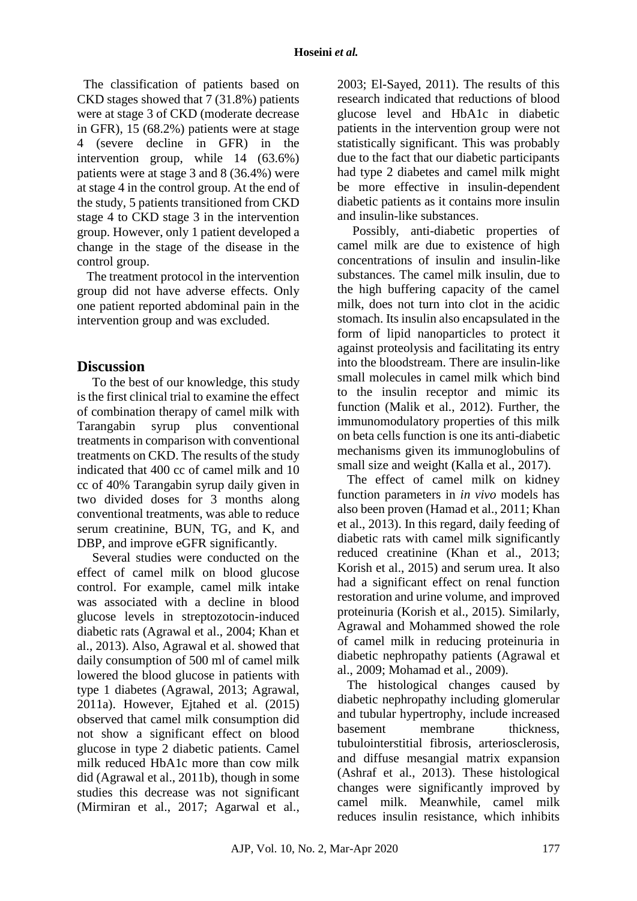The classification of patients based on CKD stages showed that 7 (31.8%) patients were at stage 3 of CKD (moderate decrease in GFR), 15 (68.2%) patients were at stage 4 (severe decline in GFR) in the intervention group, while 14 (63.6%) patients were at stage 3 and 8 (36.4%) were at stage 4 in the control group. At the end of the study, 5 patients transitioned from CKD stage 4 to CKD stage 3 in the intervention group. However, only 1 patient developed a change in the stage of the disease in the control group.

 The treatment protocol in the intervention group did not have adverse effects. Only one patient reported abdominal pain in the intervention group and was excluded.

# **Discussion**

To the best of our knowledge, this study is the first clinical trial to examine the effect of combination therapy of camel milk with Tarangabin syrup plus conventional treatments in comparison with conventional treatments on CKD. The results of the study indicated that 400 cc of camel milk and 10 cc of 40% Tarangabin syrup daily given in two divided doses for 3 months along conventional treatments, was able to reduce serum creatinine, BUN, TG, and K, and DBP, and improve eGFR significantly.

Several studies were conducted on the effect of camel milk on blood glucose control. For example, camel milk intake was associated with a decline in blood glucose levels in streptozotocin-induced diabetic rats (Agrawal et al., 2004; Khan et al., 2013). Also, Agrawal et al. showed that daily consumption of 500 ml of camel milk lowered the blood glucose in patients with type 1 diabetes (Agrawal, 2013; Agrawal, 2011a). However, Ejtahed et al. (2015) observed that camel milk consumption did not show a significant effect on blood glucose in type 2 diabetic patients. Camel milk reduced HbA1c more than cow milk did (Agrawal et al., 2011b), though in some studies this decrease was not significant (Mirmiran et al., 2017; Agarwal et al.,

2003; El-Sayed, 2011). The results of this research indicated that reductions of blood glucose level and HbA1c in diabetic patients in the intervention group were not statistically significant. This was probably due to the fact that our diabetic participants had type 2 diabetes and camel milk might be more effective in insulin-dependent diabetic patients as it contains more insulin and insulin-like substances.

Possibly, anti-diabetic properties of camel milk are due to existence of high concentrations of insulin and insulin-like substances. The camel milk insulin, due to the high buffering capacity of the camel milk, does not turn into clot in the acidic stomach. Its insulin also encapsulated in the form of lipid nanoparticles to protect it against proteolysis and facilitating its entry into the bloodstream. There are insulin-like small molecules in camel milk which bind to the insulin receptor and mimic its function (Malik et al., 2012). Further, the immunomodulatory properties of this milk on beta cells function is one its anti-diabetic mechanisms given its immunoglobulins of small size and weight (Kalla et al., 2017).

 The effect of camel milk on kidney function parameters in *in vivo* models has also been proven (Hamad et al., 2011; Khan et al., 2013). In this regard, daily feeding of diabetic rats with camel milk significantly reduced creatinine (Khan et al., 2013; Korish et al., 2015) and serum urea. It also had a significant effect on renal function restoration and urine volume, and improved proteinuria (Korish et al., 2015). Similarly, Agrawal and Mohammed showed the role of camel milk in reducing proteinuria in diabetic nephropathy patients (Agrawal et al., 2009; Mohamad et al., 2009).

 The histological changes caused by diabetic nephropathy including glomerular and tubular hypertrophy, include increased basement membrane thickness, tubulointerstitial fibrosis, arteriosclerosis, and diffuse mesangial matrix expansion (Ashraf et al., 2013). These histological changes were significantly improved by camel milk. Meanwhile, camel milk reduces insulin resistance, which inhibits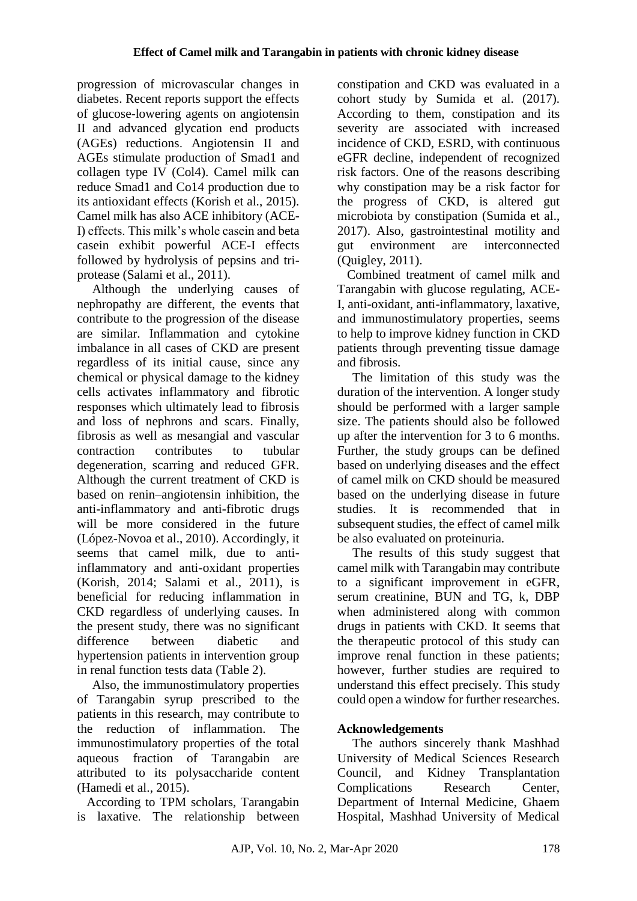progression of microvascular changes in diabetes. Recent reports support the effects of glucose-lowering agents on angiotensin II and advanced glycation end products (AGEs) reductions. Angiotensin II and AGEs stimulate production of Smad1 and collagen type IV (Col4). Camel milk can reduce Smad1 and Co14 production due to its antioxidant effects (Korish et al., 2015). Camel milk has also ACE inhibitory (ACE-I) effects. This milk's whole casein and beta casein exhibit powerful ACE-I effects followed by hydrolysis of pepsins and triprotease (Salami et al., 2011).

Although the underlying causes of nephropathy are different, the events that contribute to the progression of the disease are similar. Inflammation and cytokine imbalance in all cases of CKD are present regardless of its initial cause, since any chemical or physical damage to the kidney cells activates inflammatory and fibrotic responses which ultimately lead to fibrosis and loss of nephrons and scars. Finally, fibrosis as well as mesangial and vascular contraction contributes to tubular degeneration, scarring and reduced GFR. Although the current treatment of CKD is based on renin–angiotensin inhibition, the anti-inflammatory and anti-fibrotic drugs will be more considered in the future (López-Novoa et al., 2010). Accordingly, it seems that camel milk, due to antiinflammatory and anti-oxidant properties (Korish, 2014; Salami et al., 2011), is beneficial for reducing inflammation in CKD regardless of underlying causes. In the present study, there was no significant difference between diabetic and hypertension patients in intervention group in renal function tests data (Table 2).

Also, the immunostimulatory properties of Tarangabin syrup prescribed to the patients in this research, may contribute to the reduction of inflammation. The immunostimulatory properties of the total aqueous fraction of Tarangabin are attributed to its polysaccharide content (Hamedi et al., 2015).

 According to TPM scholars, Tarangabin is laxative. The relationship between

constipation and CKD was evaluated in a cohort study by Sumida et al. (2017). According to them, constipation and its severity are associated with increased incidence of CKD, ESRD, with continuous eGFR decline, independent of recognized risk factors. One of the reasons describing why constipation may be a risk factor for the progress of CKD, is altered gut microbiota by constipation (Sumida et al., 2017). Also, gastrointestinal motility and gut environment are interconnected (Quigley, 2011).

 Combined treatment of camel milk and Tarangabin with glucose regulating, ACE-I, anti-oxidant, anti-inflammatory, laxative, and immunostimulatory properties, seems to help to improve kidney function in CKD patients through preventing tissue damage and fibrosis.

The limitation of this study was the duration of the intervention. A longer study should be performed with a larger sample size. The patients should also be followed up after the intervention for 3 to 6 months. Further, the study groups can be defined based on underlying diseases and the effect of camel milk on CKD should be measured based on the underlying disease in future studies. It is recommended that in subsequent studies, the effect of camel milk be also evaluated on proteinuria.

The results of this study suggest that camel milk with Tarangabin may contribute to a significant improvement in eGFR, serum creatinine, BUN and TG, k, DBP when administered along with common drugs in patients with CKD. It seems that the therapeutic protocol of this study can improve renal function in these patients; however, further studies are required to understand this effect precisely. This study could open a window for further researches.

# **Acknowledgements**

The authors sincerely thank Mashhad University of Medical Sciences Research Council, and Kidney Transplantation Complications Research Center, Department of Internal Medicine, Ghaem Hospital, Mashhad University of Medical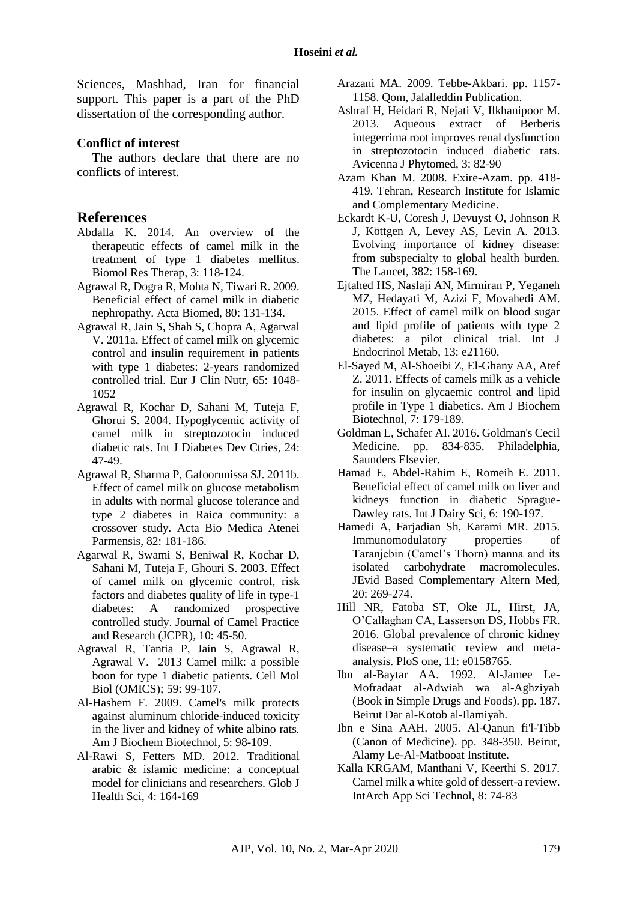Sciences, Mashhad, Iran for financial support. This paper is a part of the PhD dissertation of the corresponding author.

#### **Conflict of interest**

The authors declare that there are no conflicts of interest.

## **References**

- Abdalla K. 2014. An overview of the therapeutic effects of camel milk in the treatment of type 1 diabetes mellitus. Biomol Res Therap*,* 3: 118-124.
- Agrawal R, Dogra R, Mohta N, Tiwari R. 2009. Beneficial effect of camel milk in diabetic nephropathy. Acta Biomed, 80: 131-134.
- Agrawal R, Jain S, Shah S, Chopra A, Agarwal V. 2011a. Effect of camel milk on glycemic control and insulin requirement in patients with type 1 diabetes: 2-years randomized controlled trial. Eur J Clin Nutr, 65: 1048- 1052
- Agrawal R, Kochar D, Sahani M, Tuteja F, Ghorui S. 2004. Hypoglycemic activity of camel milk in streptozotocin induced diabetic rats. Int J Diabetes Dev Ctries, 24: 47-49.
- Agrawal R, Sharma P, Gafoorunissa SJ. 2011b. Effect of camel milk on glucose metabolism in adults with normal glucose tolerance and type 2 diabetes in Raica community: a crossover study. Acta Bio Medica Atenei Parmensis, 82: 181-186.
- Agarwal R, Swami S, Beniwal R, Kochar D, Sahani M, Tuteja F, Ghouri S. 2003. Effect of camel milk on glycemic control, risk factors and diabetes quality of life in type-1 diabetes: A randomized prospective controlled study. Journal of Camel Practice and Research (JCPR), 10: 45-50.
- Agrawal R, Tantia P, Jain S, Agrawal R, Agrawal V. 2013 Camel milk: a possible boon for type 1 diabetic patients. Cell Mol Biol (OMICS); 59: 99-107.
- Al-Hashem F. 2009. Camel's milk protects against aluminum chloride-induced toxicity in the liver and kidney of white albino rats. Am J Biochem Biotechnol, 5: 98-109.
- Al-Rawi S, Fetters MD. 2012. Traditional arabic & islamic medicine: a conceptual model for clinicians and researchers. Glob J Health Sci, 4: 164-169
- Arazani MA. 2009. Tebbe-Akbari. pp. 1157- 1158. Qom, Jalalleddin Publication.
- Ashraf H, Heidari R, Nejati V, Ilkhanipoor M. 2013. Aqueous extract of Berberis integerrima root improves renal dysfunction in streptozotocin induced diabetic rats. Avicenna J Phytomed, 3: 82-90
- Azam Khan M. 2008. Exire-Azam. pp. 418- 419. Tehran, Research Institute for Islamic and Complementary Medicine.
- Eckardt K-U, Coresh J, Devuyst O, Johnson R J, Köttgen A, Levey AS, Levin A. 2013. Evolving importance of kidney disease: from subspecialty to global health burden. The Lancet, 382: 158-169.
- Ejtahed HS, Naslaji AN, Mirmiran P, Yeganeh MZ, Hedayati M, Azizi F, Movahedi AM. 2015. Effect of camel milk on blood sugar and lipid profile of patients with type 2 diabetes: a pilot clinical trial. Int J Endocrinol Metab, 13: e21160.
- El-Sayed M, Al-Shoeibi Z, El-Ghany AA, Atef Z. 2011. Effects of camels milk as a vehicle for insulin on glycaemic control and lipid profile in Type 1 diabetics. Am J Biochem Biotechnol, 7: 179-189.
- Goldman L, Schafer AI. 2016. Goldman's Cecil Medicine. pp. 834-835. Philadelphia, Saunders Elsevier.
- Hamad E, Abdel-Rahim E, Romeih E. 2011. Beneficial effect of camel milk on liver and kidneys function in diabetic Sprague-Dawley rats. Int J Dairy Sci, 6: 190-197.
- Hamedi A, Farjadian Sh, Karami MR. 2015. Immunomodulatory properties of Taranjebin (Camel's Thorn) manna and its isolated carbohydrate macromolecules. JEvid Based Complementary Altern Med, 20: 269-274.
- Hill NR, Fatoba ST, Oke JL, Hirst, JA, O'Callaghan CA, Lasserson DS, Hobbs FR. 2016. Global prevalence of chronic kidney disease–a systematic review and metaanalysis. PloS one, 11: e0158765.
- Ibn al-Baytar AA. 1992. Al-Jamee Le-Mofradaat al-Adwiah wa al-Aghziyah (Book in Simple Drugs and Foods). pp. 187. Beirut Dar al-Kotob al-Ilamiyah.
- Ibn e Sina AAH. 2005. Al-Qanun fi'l-Tibb (Canon of Medicine). pp. 348-350. Beirut, Alamy Le-Al-Matbooat Institute.
- Kalla KRGAM, Manthani V, Keerthi S. 2017. Camel milk a white gold of dessert-a review. IntArch App Sci Technol, 8: 74‐83